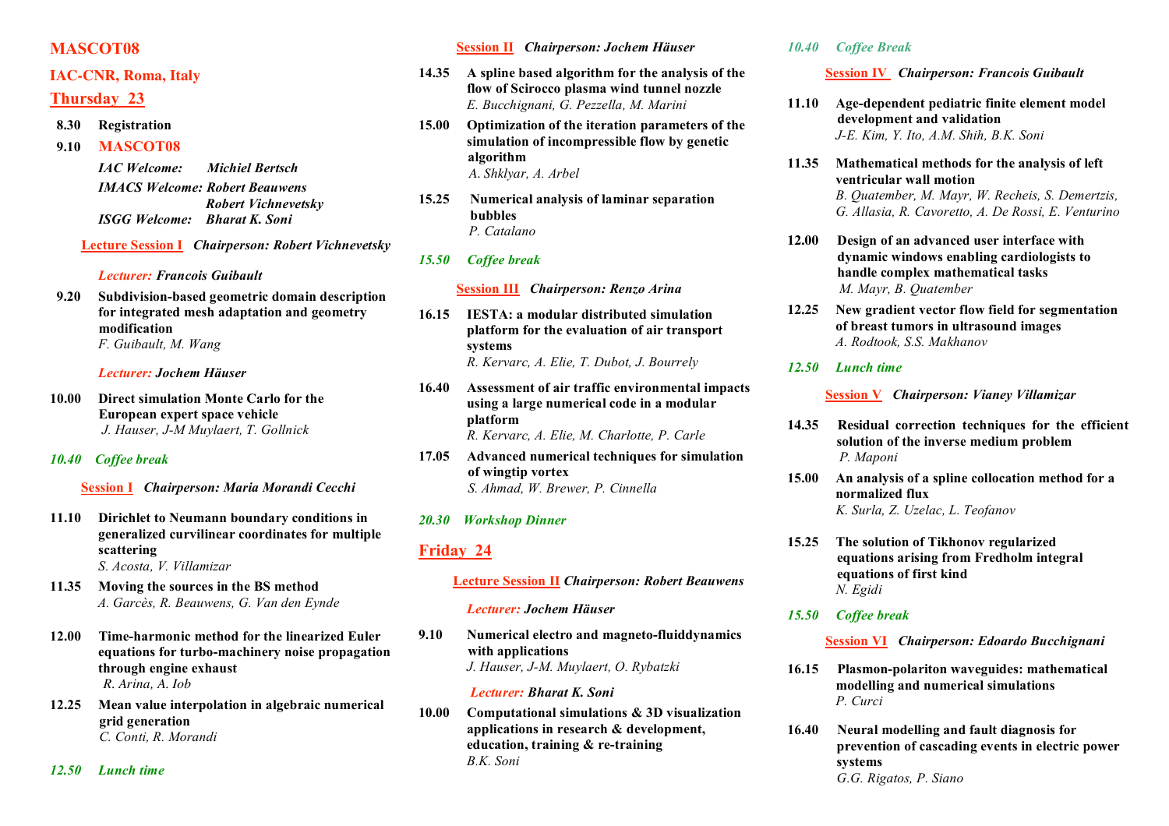# **MASCOT08**

# **IAC-CNR, Roma, Italy**

# **Thursday 23**

**8.30 Registration**

**9.10 MASCOT08**

*IAC Welcome: Michiel Bertsch IMACS Welcome: Robert Beauwens Robert Vichnevetsky ISGG Welcome: Bharat K. Soni*

**Lecture Session I** *Chairperson: Robert Vichnevetsky*

*Lecturer: Francois Guibault*

**9.20 Subdivision-based geometric domain description for integrated mesh adaptation and geometry modification** *F. Guibault, M. Wang*

## *Lecturer: Jochem Häuser*

**10.00 Direct simulation Monte Carlo for the European expert space vehicle** *J. Hauser, J-M Muylaert, T. Gollnick*

# *10.40 Coffee break*

**Session I** *Chairperson: Maria Morandi Cecchi*

- **11.10 Dirichlet to Neumann boundary conditions in generalized curvilinear coordinates for multiple scattering** *S. Acosta, V. Villamizar*
- **11.35 Moving the sources in the BS method** *A. Garcès, R. Beauwens, G. Van den Eynde*
- **12.00 Time-harmonic method for the linearized Euler equations for turbo-machinery noise propagation through engine exhaust** *R. Arina, A. Iob*
- **12.25 Mean value interpolation in algebraic numerical grid generation** *C. Conti, R. Morandi*

*12.50 Lunch time*

## **Session II** *Chairperson: Jochem Häuser*

- **14.35 A spline based algorithm for the analysis of the flow of Scirocco plasma wind tunnel nozzle** *E. Bucchignani, G. Pezzella, M. Marini*
- **15.00 Optimization of the iteration parameters of the simulation of incompressible flow by genetic algorithm** *A. Shklyar, A. Arbel*
- **15.25 Numerical analysis of laminar separation bubbles** *P. Catalano*

# *15.50 Coffee break*

## **Session III** *Chairperson: Renzo Arina*

- **16.15 IESTA: a modular distributed simulation platform for the evaluation of air transport systems** *R. Kervarc, A. Elie, T. Dubot, J. Bourrely*
- **16.40 Assessment of air traffic environmental impacts using a large numerical code in a modular platform** *R. Kervarc, A. Elie, M. Charlotte, P. Carle*
- **17.05 Advanced numerical techniques for simulation of wingtip vortex** *S. Ahmad, W. Brewer, P. Cinnella*
- *20.30 Workshop Dinner*

# **Friday 24**

## **Lecture Session II** *Chairperson: Robert Beauwens*

#### *Lecturer: Jochem Häuser*

**9.10 Numerical electro and magneto-fluiddynamics with applications** *J. Hauser, J-M. Muylaert, O. Rybatzki*

## *Lecturer: Bharat K. Soni*

**10.00 Computational simulations & 3D visualization applications in research & development, education, training & re-training** *B.K. Soni*

## *10.40 Coffee Break*

**Session IV** *Chairperson: Francois Guibault*

- **11.10 Age-dependent pediatric finite element model development and validation** *J-E. Kim, Y. Ito, A.M. Shih, B.K. Soni*
- **11.35 Mathematical methods for the analysis of left ventricular wall motion** *B. Quatember, M. Mayr, W. Recheis, S. Demertzis, G. Allasia, R. Cavoretto, A. De Rossi, E. Venturino*
- **12.00 Design of an advanced user interface with dynamic windows enabling cardiologists to handle complex mathematical tasks** *M. Mayr, B. Quatember*
- **12.25 New gradient vector flow field for segmentation of breast tumors in ultrasound images** *A. Rodtook, S.S. Makhanov*
- *12.50 Lunch time*

**Session V** *Chairperson: Vianey Villamizar*

- **14.35 Residual correction techniques for the efficient solution of the inverse medium problem** *P. Maponi*
- **15.00 An analysis of a spline collocation method for a normalized flux** *K. Surla, Z. Uzelac, L. Teofanov*
- **15.25 The solution of Tikhonov regularized equations arising from Fredholm integral equations of first kind** *N. Egidi*
- *15.50 Coffee break*

**Session VI** *Chairperson: Edoardo Bucchignani*

- **16.15 Plasmon-polariton waveguides: mathematical modelling and numerical simulations** *P. Curci*
- **16.40 Neural modelling and fault diagnosis for prevention of cascading events in electric power systems** *G.G. Rigatos, P. Siano*